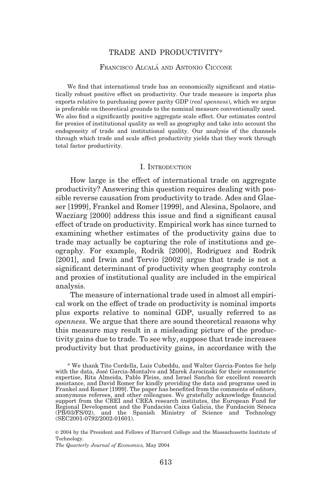# TRADE AND PRODUCTIVITY\*

# FRANCISCO ALCALÁ AND ANTONIO CICCONE

We find that international trade has an economically significant and statistically robust positive effect on productivity. Our trade measure is imports plus exports relative to purchasing power parity GDP (real openness), which we argue is preferable on theoretical grounds to the nominal measure conventionally used. We also find a significantly positive aggregate scale effect. Our estimates control for proxies of institutional quality as well as geography and take into account the endogeneity of trade and institutional quality. Our analysis of the channels through which trade and scale affect productivity yields that they work through total factor productivity.

#### **I** INTRODUCTION

How large is the effect of international trade on aggregate productivity? Answering this question requires dealing with possible reverse causation from productivity to trade. Ades and Glaeser [1999], Frankel and Romer [1999], and Alesina, Spolaore, and Wacziarg [2000] address this issue and find a significant causal effect of trade on productivity. Empirical work has since turned to examining whether estimates of the productivity gains due to trade may actually be capturing the role of institutions and geography. For example, Rodrik [2000], Rodriguez and Rodrik [2001], and Irwin and Tervio [2002] argue that trade is not a significant determinant of productivity when geography controls and proxies of institutional quality are included in the empirical analysis.

The measure of international trade used in almost all empirical work on the effect of trade on productivity is nominal imports plus exports relative to nominal GDP, usually referred to as *openness.* We argue that there are sound theoretical reasons why this measure may result in a misleading picture of the productivity gains due to trade. To see why, suppose that trade increases productivity but that productivity gains, in accordance with the

\* We thank Tito Cordella, Luis Cubeddu, and Walter Garcia-Fontes for help with the data, José Garcia-Montalvo and Marek Jarocinski for their econometric expertise, Rita Almeida, Pablo Fleiss, and Israel Sancho for excellent research assistance, and David Romer for kindly providing the data and programs used in Frankel and Romer [1999]. The paper has benefited from the comments of editors, anonymous referees, and other colleagues. We gratefully acknowledge financial support from the CREI and CREA research institutes, the European Fund for Regional Development and the Fundación Caixa Galicia, the Fundación Séneca (PB/03/FS/02), and the Spanish Ministry of Science and Technology (SEC2001-0792/2002-01601).

© 2004 by the President and Fellows of Harvard College and the Massachusetts Institute of Technology.

The Quarterly Journal of Economics, May 2004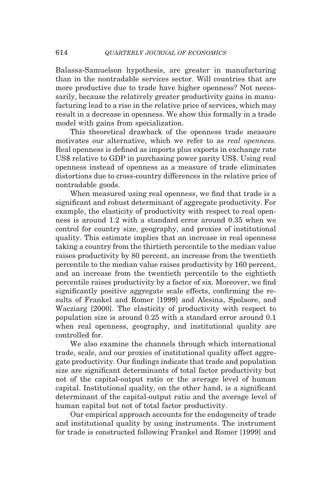Balassa-Samuelson hypothesis, are greater in manufacturing than in the nontradable services sector. Will countries that are more productive due to trade have higher openness? Not necessarily, because the relatively greater productivity gains in manufacturing lead to a rise in the relative price of services, which may result in a decrease in openness. We show this formally in a trade model with gains from specialization.

This theoretical drawback of the openness trade measure motivates our alternative, which we refer to as real openness. Real openness is defined as imports plus exports in exchange rate US\$ relative to GDP in purchasing power parity US\$. Using real openness instead of openness as a measure of trade eliminates distortions due to cross-country differences in the relative price of nontradable goods.

When measured using real openness, we find that trade is a significant and robust determinant of aggregate productivity. For example, the elasticity of productivity with respect to real openness is around 1.2 with a standard error around 0.35 when we control for country size, geography, and proxies of institutional quality. This estimate implies that an increase in real openness taking a country from the thirtieth percentile to the median value raises productivity by 80 percent, an increase from the twentieth percentile to the median value raises productivity by 160 percent. and an increase from the twentieth percentile to the eightieth percentile raises productivity by a factor of six. Moreover, we find significantly positive aggregate scale effects, confirming the results of Frankel and Romer [1999] and Alesina, Spolaore, and Wacziarg [2000]. The elasticity of productivity with respect to population size is around 0.25 with a standard error around 0.1 when real openness, geography, and institutional quality are controlled for.

We also examine the channels through which international trade, scale, and our proxies of institutional quality affect aggregate productivity. Our findings indicate that trade and population size are significant determinants of total factor productivity but not of the capital-output ratio or the average level of human capital. Institutional quality, on the other hand, is a significant determinant of the capital-output ratio and the average level of human capital but not of total factor productivity.

Our empirical approach accounts for the endogeneity of trade and institutional quality by using instruments. The instrument for trade is constructed following Frankel and Romer [1999] and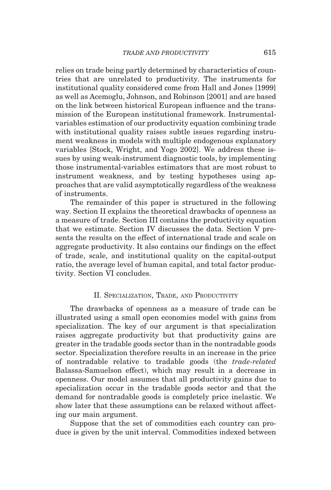relies on trade being partly determined by characteristics of countries that are unrelated to productivity. The instruments for institutional quality considered come from Hall and Jones [1999] as well as Acemoglu, Johnson, and Robinson [2001] and are based on the link between historical European influence and the transmission of the European institutional framework. Instrumentalvariables estimation of our productivity equation combining trade with institutional quality raises subtle issues regarding instrument weakness in models with multiple endogenous explanatory variables [Stock, Wright, and Yogo 2002]. We address these issues by using weak-instrument diagnostic tools, by implementing those instrumental-variables estimators that are most robust to instrument weakness, and by testing hypotheses using approaches that are valid asymptotically regardless of the weakness of instruments.

The remainder of this paper is structured in the following way. Section II explains the theoretical drawbacks of openness as a measure of trade. Section III contains the productivity equation that we estimate. Section IV discusses the data. Section V presents the results on the effect of international trade and scale on aggregate productivity. It also contains our findings on the effect of trade, scale, and institutional quality on the capital-output ratio, the average level of human capital, and total factor productivity. Section VI concludes.

# II. SPECIALIZATION, TRADE, AND PRODUCTIVITY

The drawbacks of openness as a measure of trade can be illustrated using a small open economies model with gains from specialization. The key of our argument is that specialization raises aggregate productivity but that productivity gains are greater in the tradable goods sector than in the nontradable goods sector. Specialization therefore results in an increase in the price of nontradable relative to tradable goods (the *trade-related* Balassa-Samuelson effect), which may result in a decrease in openness. Our model assumes that all productivity gains due to specialization occur in the tradable goods sector and that the demand for nontradable goods is completely price inelastic. We show later that these assumptions can be relaxed without affecting our main argument.

Suppose that the set of commodities each country can produce is given by the unit interval. Commodities indexed between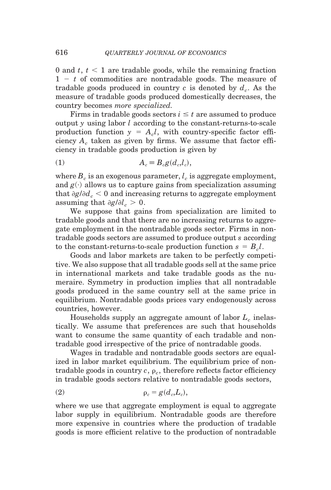0 and t,  $t < 1$  are tradable goods, while the remaining fraction  $1 - t$  of commodities are nontradable goods. The measure of tradable goods produced in country c is denoted by  $d_c$ . As the measure of tradable goods produced domestically decreases, the country becomes more specialized.

Firms in tradable goods sectors  $i \leq t$  are assumed to produce output  $\gamma$  using labor l according to the constant-returns-to-scale production function  $y = A_c l$ , with country-specific factor efficiency  $A_c$  taken as given by firms. We assume that factor efficiency in tradable goods production is given by

$$
(1) \t\t A_c \equiv B_c g(d_c, l_c),
$$

where  $B_c$  is an exogenous parameter,  $l_c$  is aggregate employment, and  $g(\cdot)$  allows us to capture gains from specialization assuming that  $\partial g / \partial d_c$  < 0 and increasing returns to aggregate employment assuming that  $\partial g / \partial l_c > 0$ .

We suppose that gains from specialization are limited to tradable goods and that there are no increasing returns to aggregate employment in the nontradable goods sector. Firms in nontradable goods sectors are assumed to produce output s according to the constant-returns-to-scale production function  $s = B<sub>a</sub>l$ .

Goods and labor markets are taken to be perfectly competitive. We also suppose that all tradable goods sell at the same price in international markets and take tradable goods as the numeraire. Symmetry in production implies that all nontradable goods produced in the same country sell at the same price in equilibrium. Nontradable goods prices vary endogenously across countries, however.

Households supply an aggregate amount of labor  $L_c$  inelastically. We assume that preferences are such that households want to consume the same quantity of each tradable and nontradable good irrespective of the price of nontradable goods.

Wages in tradable and nontradable goods sectors are equalized in labor market equilibrium. The equilibrium price of nontradable goods in country  $c$ ,  $\rho_c$ , therefore reflects factor efficiency in tradable goods sectors relative to nontradable goods sectors,

$$
\rho_c = g(d_c, L_c),
$$

where we use that aggregate employment is equal to aggregate labor supply in equilibrium. Nontradable goods are therefore more expensive in countries where the production of tradable goods is more efficient relative to the production of nontradable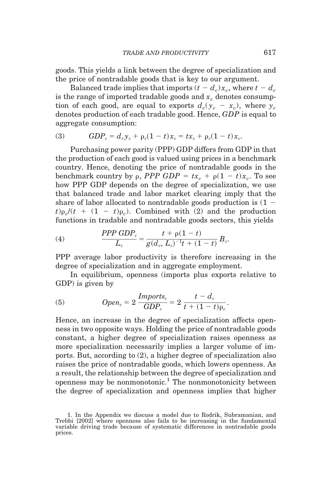goods. This yields a link between the degree of specialization and the price of nontradable goods that is key to our argument.

Balanced trade implies that imports  $(t - d_c)x_c$ , where  $t - d_c$ is the range of imported tradable goods and  $x_c$  denotes consumption of each good, are equal to exports  $d_c(y_c - x_c)$ , where  $y_c$ denotes production of each tradable good. Hence,  $GDP$  is equal to aggregate consumption:

(3) 
$$
GDP_c = d_c y_c + \rho_c (1-t) x_c = tx_c + \rho_c (1-t) x_c
$$

Purchasing power parity (PPP) GDP differs from GDP in that the production of each good is valued using prices in a benchmark country. Hence, denoting the price of nontradable goods in the benchmark country by  $\rho$ , *PPP GDP* =  $tx_c + \rho(1 - t)x_c$ . To see how PPP GDP depends on the degree of specialization, we use that balanced trade and labor market clearing imply that the share of labor allocated to nontradable goods production is  $(1$  $t$ ) $\rho_c/(t + (1 - t)\rho_c)$ . Combined with (2) and the production functions in tradable and nontradable goods sectors, this yields

(4) 
$$
\frac{PPP\ GDP_c}{L_c} = \frac{t + \rho(1-t)}{g(d_c, L_c)^{-1}t + (1-t)}B_c.
$$

PPP average labor productivity is therefore increasing in the degree of specialization and in aggregate employment.

In equilibrium, openness (imports plus exports relative to GDP) is given by

(5) 
$$
Open_c = 2 \frac{Imports_c}{GDP_c} = 2 \frac{t - d_c}{t + (1 - t)\rho_c}.
$$

Hence, an increase in the degree of specialization affects openness in two opposite ways. Holding the price of nontradable goods constant, a higher degree of specialization raises openness as more specialization necessarily implies a larger volume of imports. But, according to  $(2)$ , a higher degree of specialization also raises the price of nontradable goods, which lowers openness. As a result, the relationship between the degree of specialization and openness may be nonmonotonic.<sup>1</sup> The nonmonotonicity between the degree of specialization and openness implies that higher

<sup>1.</sup> In the Appendix we discuss a model due to Rodrik, Subramanian, and Trebbi [2002] where openness also fails to be increasing in the fundamental variable driving trade because of systematic differences in nontradable goods prices.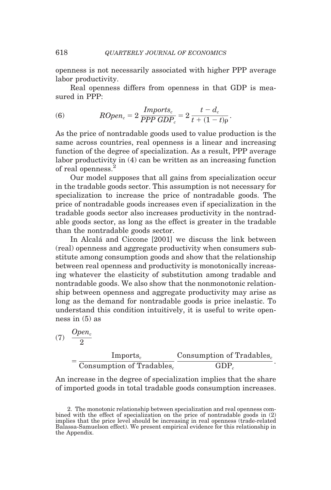openness is not necessarily associated with higher PPP average labor productivity.

Real openness differs from openness in that GDP is measured in PPP:

(6) 
$$
ROpen_c = 2 \frac{Imports_c}{PPP \ GDP_c} = 2 \frac{t - d_c}{t + (1 - t)\rho}
$$

As the price of nontradable goods used to value production is the same across countries, real openness is a linear and increasing function of the degree of specialization. As a result, PPP average labor productivity in (4) can be written as an increasing function of real openness.<sup>2</sup>

Our model supposes that all gains from specialization occur in the tradable goods sector. This assumption is not necessary for specialization to increase the price of nontradable goods. The price of nontradable goods increases even if specialization in the tradable goods sector also increases productivity in the nontradable goods sector, as long as the effect is greater in the tradable than the nontradable goods sector.

In Alcalá and Ciccone [2001] we discuss the link between (real) openness and aggregate productivity when consumers substitute among consumption goods and show that the relationship between real openness and productivity is monotonically increasing whatever the elasticity of substitution among tradable and nontradable goods. We also show that the nonmonotonic relationship between openness and aggregate productivity may arise as long as the demand for nontradable goods is price inelastic. To understand this condition intuitively, it is useful to write openness in  $(5)$  as

$$
(7) \quad \frac{Open_{c}}{2}
$$

| Imports <sub>c</sub>                | Consumption of $\text{Tradables}_{c}$ |  |  |
|-------------------------------------|---------------------------------------|--|--|
| Consumption of $\text{Tradables}_c$ | GDP <sub>c</sub>                      |  |  |

An increase in the degree of specialization implies that the share of imported goods in total tradable goods consumption increases.

<sup>2.</sup> The monotonic relationship between specialization and real openness combined with the effect of specialization on the price of nontradable goods in (2) implies that the price level should be increasing in real openness (trade-related Balassa-Samuels on effect). We present empirical evidence for this relationship in the Appendix.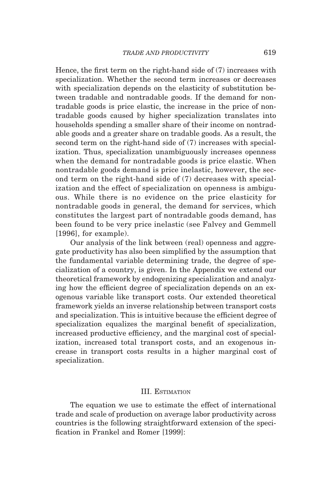Hence, the first term on the right-hand side of  $(7)$  increases with specialization. Whether the second term increases or decreases with specialization depends on the elasticity of substitution between tradable and nontradable goods. If the demand for nontradable goods is price elastic, the increase in the price of nontradable goods caused by higher specialization translates into households spending a smaller share of their income on nontradable goods and a greater share on tradable goods. As a result, the second term on the right-hand side of (7) increases with specialization. Thus, specialization unambiguously increases openness when the demand for nontradable goods is price elastic. When nontradable goods demand is price inelastic, however, the second term on the right-hand side of (7) decreases with specialization and the effect of specialization on openness is ambiguous. While there is no evidence on the price elasticity for nontradable goods in general, the demand for services, which constitutes the largest part of nontradable goods demand, has been found to be very price inelastic (see Falvey and Gemmell  $[1996]$ , for example).

Our analysis of the link between (real) openness and aggregate productivity has also been simplified by the assumption that the fundamental variable determining trade, the degree of specialization of a country, is given. In the Appendix we extend our theoretical framework by endogenizing specialization and analyzing how the efficient degree of specialization depends on an exogenous variable like transport costs. Our extended theoretical framework yields an inverse relationship between transport costs and specialization. This is intuitive because the efficient degree of specialization equalizes the marginal benefit of specialization, increased productive efficiency, and the marginal cost of specialization, increased total transport costs, and an exogenous increase in transport costs results in a higher marginal cost of specialization.

#### **III. ESTIMATION**

The equation we use to estimate the effect of international trade and scale of production on average labor productivity across countries is the following straightforward extension of the specification in Frankel and Romer [1999]: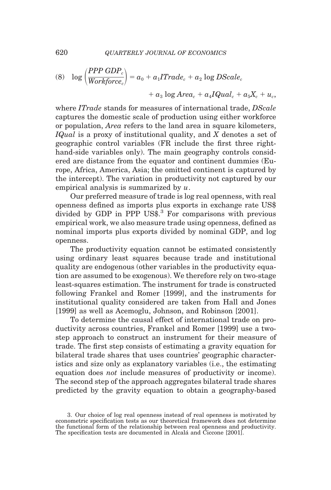(8) 
$$
\log \left( \frac{PPP \ GDP_c}{Workforce_c} \right) = a_0 + a_1 I Trade_c + a_2 \log DScale_c
$$

$$
+ a_3 \log Area_c + a_4 IQual_c + a_5 X_c + u_c,
$$

where ITrade stands for measures of international trade, DScale captures the domestic scale of production using either workforce or population. Area refers to the land area in square kilometers.  $I\overline{Q}u$  is a proxy of institutional quality, and X denotes a set of geographic control variables (FR include the first three righthand-side variables only). The main geography controls considered are distance from the equator and continent dummies (Europe, Africa, America, Asia; the omitted continent is captured by the intercept). The variation in productivity not captured by our empirical analysis is summarized by  $u$ .

Our preferred measure of trade is log real openness, with real openness defined as imports plus exports in exchange rate US\$ divided by GDP in PPP US\$.<sup>3</sup> For comparisons with previous empirical work, we also measure trade using openness, defined as nominal imports plus exports divided by nominal GDP, and log openness.

The productivity equation cannot be estimated consistently using ordinary least squares because trade and institutional quality are endogenous (other variables in the productivity equation are assumed to be exogenous). We therefore rely on two-stage least-squares estimation. The instrument for trade is constructed following Frankel and Romer [1999], and the instruments for institutional quality considered are taken from Hall and Jones [1999] as well as Acemoglu, Johnson, and Robinson [2001].

To determine the causal effect of international trade on productivity across countries, Frankel and Romer [1999] use a twostep approach to construct an instrument for their measure of trade. The first step consists of estimating a gravity equation for bilateral trade shares that uses countries' geographic characteristics and size only as explanatory variables (i.e., the estimating equation does *not* include measures of productivity or income). The second step of the approach aggregates bilateral trade shares predicted by the gravity equation to obtain a geography-based

620

<sup>3.</sup> Our choice of log real openness instead of real openness is motivated by econometric specification tests as our theoretical framework does not determine the functional form of the relationship between real openness and productivity.<br>The specification tests are documented in Alcalá and Ciccone [2001].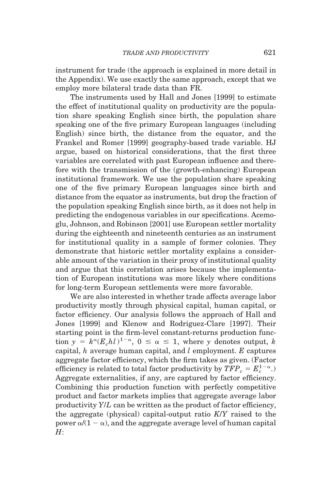instrument for trade (the approach is explained in more detail in the Appendix). We use exactly the same approach, except that we employ more bilateral trade data than FR.

The instruments used by Hall and Jones [1999] to estimate the effect of institutional quality on productivity are the population share speaking English since birth, the population share speaking one of the five primary European languages (including English) since birth, the distance from the equator, and the Frankel and Romer [1999] geography-based trade variable. HJ argue, based on historical considerations, that the first three variables are correlated with past European influence and therefore with the transmission of the (growth-enhancing) European institutional framework. We use the population share speaking one of the five primary European languages since birth and distance from the equator as instruments, but drop the fraction of the population speaking English since birth, as it does not help in predicting the endogenous variables in our specifications. Acemoglu, Johnson, and Robinson [2001] use European settler mortality during the eighteenth and nineteenth centuries as an instrument for institutional quality in a sample of former colonies. They demonstrate that historic settler mortality explains a considerable amount of the variation in their proxy of institutional quality and argue that this correlation arises because the implementation of European institutions was more likely where conditions for long-term European settlements were more favorable.

We are also interested in whether trade affects average labor productivity mostly through physical capital, human capital, or factor efficiency. Our analysis follows the approach of Hall and Jones [1999] and Klenow and Rodriguez-Clare [1997]. Their starting point is the firm-level constant-returns production function  $y = k^{\alpha} (E_{c} h l)^{1-\alpha}$ ,  $0 \le \alpha \le 1$ , where y denotes output, k capital,  $h$  average human capital, and  $l$  employment.  $E$  captures aggregate factor efficiency, which the firm takes as given. (Factor efficiency is related to total factor productivity by  $TFP_c = E_c^{1-\alpha}$ . Aggregate externalities, if any, are captured by factor efficiency. Combining this production function with perfectly competitive product and factor markets implies that aggregate average labor productivity Y/L can be written as the product of factor efficiency, the aggregate (physical) capital-output ratio  $K/Y$  raised to the power  $α/(1 - α)$ , and the aggregate average level of human capital  $H \cdot$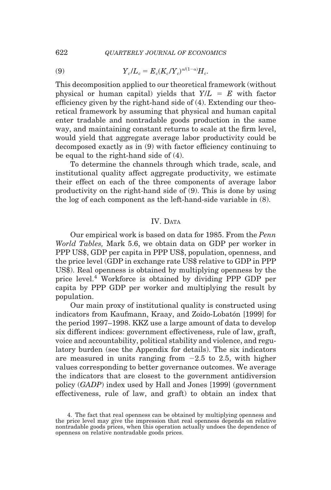$$
(9) \t\t Y_c/L_c = E_c(K_c/Y_c)^{\alpha/(1-\alpha)}H_c.
$$

This decomposition applied to our theoretical framework (without physical or human capital) yields that  $Y/L = E$  with factor efficiency given by the right-hand side of  $(4)$ . Extending our theoretical framework by assuming that physical and human capital enter tradable and nontradable goods production in the same way, and maintaining constant returns to scale at the firm level. would yield that aggregate average labor productivity could be decomposed exactly as in (9) with factor efficiency continuing to be equal to the right-hand side of  $(4)$ .

To determine the channels through which trade, scale, and institutional quality affect aggregate productivity, we estimate their effect on each of the three components of average labor productivity on the right-hand side of (9). This is done by using the log of each component as the left-hand-side variable in (8).

## **IV DATA**

Our empirical work is based on data for 1985. From the Penn World Tables, Mark 5.6, we obtain data on GDP per worker in PPP US\$, GDP per capita in PPP US\$, population, openness, and the price level (GDP in exchange rate US\$ relative to GDP in PPP US\$). Real openness is obtained by multiplying openness by the price level.<sup>4</sup> Workforce is obtained by dividing PPP GDP per capita by PPP GDP per worker and multiplying the result by population.

Our main proxy of institutional quality is constructed using indicators from Kaufmann, Kraay, and Zoido-Lobatón [1999] for the period 1997–1998. KKZ use a large amount of data to develop six different indices: government effectiveness, rule of law, graft, voice and accountability, political stability and violence, and regulatory burden (see the Appendix for details). The six indicators are measured in units ranging from  $-2.5$  to 2.5, with higher values corresponding to better governance outcomes. We average the indicators that are closest to the government antidiversion policy (GADP) index used by Hall and Jones [1999] (government effectiveness, rule of law, and graft) to obtain an index that

622

<sup>4.</sup> The fact that real openness can be obtained by multiplying openness and the price level may give the impression that real openness depends on relative nontradable goods prices, when this operation actually undoes the dependence of<br>openness on relative nontradable goods prices.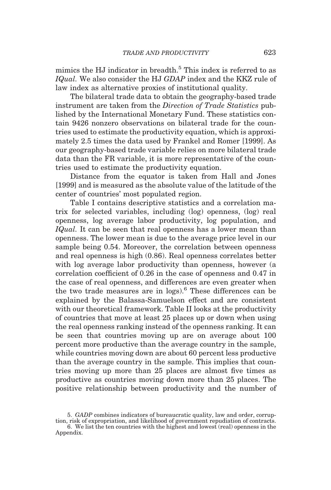mimics the HJ indicator in breadth.<sup>5</sup> This index is referred to as *IQual.* We also consider the HJ *GDAP* index and the KKZ rule of law index as alternative proxies of institutional quality.

The bilateral trade data to obtain the geography-based trade instrument are taken from the Direction of Trade Statistics published by the International Monetary Fund. These statistics contain 9426 nonzero observations on bilateral trade for the countries used to estimate the productivity equation, which is approximately 2.5 times the data used by Frankel and Romer [1999]. As our geography-based trade variable relies on more bilateral trade data than the FR variable, it is more representative of the countries used to estimate the productivity equation.

Distance from the equator is taken from Hall and Jones [1999] and is measured as the absolute value of the latitude of the center of countries' most populated region.

Table I contains descriptive statistics and a correlation matrix for selected variables, including (log) openness, (log) real openness, log average labor productivity, log population, and IQual. It can be seen that real openness has a lower mean than openness. The lower mean is due to the average price level in our sample being 0.54. Moreover, the correlation between openness and real openness is high (0.86). Real openness correlates better with log average labor productivity than openness, however (a correlation coefficient of 0.26 in the case of openness and 0.47 in the case of real openness, and differences are even greater when the two trade measures are in logs).<sup>6</sup> These differences can be explained by the Balassa-Samuelson effect and are consistent with our theoretical framework. Table II looks at the productivity of countries that move at least 25 places up or down when using the real openness ranking instead of the openness ranking. It can be seen that countries moving up are on average about 100 percent more productive than the average country in the sample, while countries moving down are about 60 percent less productive than the average country in the sample. This implies that countries moving up more than 25 places are almost five times as productive as countries moving down more than 25 places. The positive relationship between productivity and the number of

<sup>5.</sup> GADP combines indicators of bureaucratic quality, law and order, corruption, risk of expropriation, and likelihood of government repudiation of contracts. 6. We list the ten countries with the highest and lowest (real) openness in the

Appendix.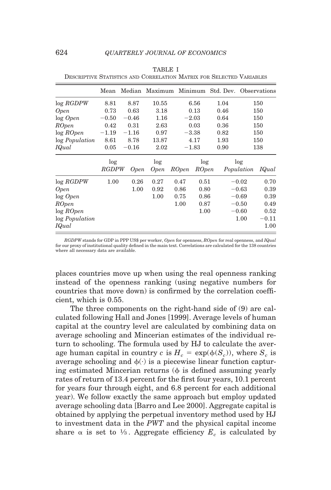|                | Mean         |             |             |       |         | Median Maximum Minimum Std. Dev. Observations |            |         |
|----------------|--------------|-------------|-------------|-------|---------|-----------------------------------------------|------------|---------|
| $log$ $RGDPW$  | 8.81         | 8.87        | 10.55       |       | 6.56    | 1.04                                          |            | 150     |
| <b>Open</b>    | 0.73         | 0.63        | 3.18        |       | 0.13    | 0.46                                          |            | 150     |
| log Open       | $-0.50$      | $-0.46$     | 1.16        |       | $-2.03$ | 0.64                                          |            | 150     |
| ROpen          | 0.42         | 0.31        | 2.63        |       | 0.03    | 0.36                                          |            | 150     |
| log ROpen      | $-1.19$      | $-1.16$     | 0.97        |       | $-3.38$ | 0.82                                          |            | 150     |
| log Population | 8.61         | 8.78        | 13.87       |       | 4.17    | 1.93                                          |            | 150     |
| <i>IQual</i>   | 0.05         | $-0.16$     | 2.02        |       | $-1.83$ | 0.90                                          |            | 138     |
|                | log          |             | log         |       | log     |                                               | log        |         |
|                | <b>RGDPW</b> | <i>Open</i> | <i>Open</i> | ROpen | ROpen   |                                               | Population | IQual   |
| $log$ RGDPW    | 1.00         | 0.26        | 0.27        | 0.47  | 0.51    |                                               | $-0.02$    | 0.70    |
| <i>Open</i>    |              | 1.00        | 0.92        | 0.86  | 0.80    |                                               | $-0.63$    | 0.39    |
| log Open       |              |             | 1.00        | 0.75  | 0.86    |                                               | $-0.69$    | 0.39    |
| ROpen          |              |             |             | 1.00  | 0.87    |                                               | $-0.50$    | 0.49    |
| log ROpen      |              |             |             |       | 1.00    |                                               | $-0.60$    | 0.52    |
| log Population |              |             |             |       |         |                                               | 1.00       | $-0.11$ |
| <i>IQual</i>   |              |             |             |       |         |                                               |            | 1.00    |

**TABLE I** DESCRIPTIVE STATISTICS AND CORRELATION MATRIX FOR SELECTED VARIABLES

RGDPW stands for GDP in PPP US\$ per worker, Open for openness, ROpen for real openness, and IQual for our proxy of institutional quality defined in the main text. Correlations are calculated for the 138 countries where all necessary data are available.

places countries move up when using the real openness ranking instead of the openness ranking (using negative numbers for countries that move down) is confirmed by the correlation coefficient, which is 0.55.

The three components on the right-hand side of (9) are calculated following Hall and Jones [1999]. Average levels of human capital at the country level are calculated by combining data on average schooling and Mincerian estimates of the individual return to schooling. The formula used by HJ to calculate the average human capital in country c is  $H_c = \exp(\phi(S_c))$ , where  $S_c$  is average schooling and  $\phi(\cdot)$  is a piecewise linear function capturing estimated Mincerian returns  $(\phi$  is defined assuming yearly rates of return of 13.4 percent for the first four years, 10.1 percent for years four through eight, and 6.8 percent for each additional year). We follow exactly the same approach but employ updated average schooling data [Barro and Lee 2000]. Aggregate capital is obtained by applying the perpetual inventory method used by HJ to investment data in the  $PWT$  and the physical capital income share  $\alpha$  is set to  $\frac{1}{3}$ . Aggregate efficiency  $E_c$  is calculated by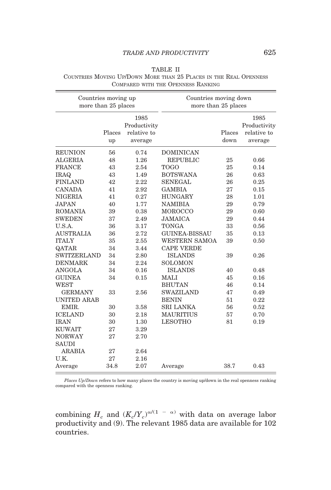#### TABLE II

COUNTRIES MOVING UP/DOWN MORE THAN 25 PLACES IN THE REAL OPENNESS COMPARED WITH THE OPENNESS RANKING

| Countries moving up<br>more than 25 places |              |                                                | Countries moving down<br>more than 25 places |                |                                                |  |
|--------------------------------------------|--------------|------------------------------------------------|----------------------------------------------|----------------|------------------------------------------------|--|
|                                            | Places<br>up | 1985<br>Productivity<br>relative to<br>average |                                              | Places<br>down | 1985<br>Productivity<br>relative to<br>average |  |
| <b>REUNION</b>                             | 56           | 0.74                                           | <b>DOMINICAN</b>                             |                |                                                |  |
| <b>ALGERIA</b>                             | 48           | 1.26                                           | <b>REPUBLIC</b>                              | 25             | 0.66                                           |  |
| <b>FRANCE</b>                              | 43           | 2.54                                           | TOGO                                         | 25             | 0.14                                           |  |
| IRAQ                                       | 43           | 1.49                                           | <b>BOTSWANA</b>                              | 26             | 0.63                                           |  |
| <b>FINLAND</b>                             | 42           | 2.22                                           | <b>SENEGAL</b>                               | 26             | 0.25                                           |  |
| <b>CANADA</b>                              | 41           | 2.92                                           | <b>GAMBIA</b>                                | 27             | 0.15                                           |  |
| <b>NIGERIA</b>                             | 41           | 0.27                                           | <b>HUNGARY</b>                               | 28             | 1.01                                           |  |
| <b>JAPAN</b>                               | 40           | 1.77                                           | <b>NAMIBIA</b>                               | 29             | 0.79                                           |  |
| <b>ROMANIA</b>                             | 39           | 0.38                                           | <b>MOROCCO</b>                               | 29             | 0.60                                           |  |
| <b>SWEDEN</b>                              | 37           | 2.49                                           | <b>JAMAICA</b>                               | 29             | 0.44                                           |  |
| U.S.A.                                     | 36           | 3.17                                           | <b>TONGA</b>                                 | 33             | 0.56                                           |  |
| <b>AUSTRALIA</b>                           | 36           | 2.72                                           | <b>GUINEA-BISSAU</b>                         | 35             | 0.13                                           |  |
| <b>ITALY</b>                               | 35           | 2.55                                           | <b>WESTERN SAMOA</b>                         | 39             | 0.50                                           |  |
| QATAR                                      | 34           | 3.44                                           | <b>CAPE VERDE</b>                            |                |                                                |  |
| <b>SWITZERLAND</b>                         | 34           | 2.80                                           | <b>ISLANDS</b>                               | 39             | 0.26                                           |  |
| <b>DENMARK</b>                             | 34           | 2.24                                           | <b>SOLOMON</b>                               |                |                                                |  |
| <b>ANGOLA</b>                              | 34           | 0.16                                           | <b>ISLANDS</b>                               | 40             | 0.48                                           |  |
| <b>GUINEA</b>                              | 34           | 0.15                                           | <b>MALI</b>                                  | 45             | 0.16                                           |  |
| WEST                                       |              |                                                | <b>BHUTAN</b>                                | 46             | 0.14                                           |  |
| <b>GERMANY</b>                             | 33           | 2.56                                           | <b>SWAZILAND</b>                             | 47             | 0.49                                           |  |
| <b>UNITED ARAB</b>                         |              |                                                | <b>BENIN</b>                                 | 51             | 0.22                                           |  |
| EMIR.                                      | 30           | 3.58                                           | <b>SRI LANKA</b>                             | 56             | 0.52                                           |  |
| <b>ICELAND</b>                             | 30           | 2.18                                           | <b>MAURITIUS</b>                             | 57             | 0.70                                           |  |
| <b>IRAN</b>                                | 30           | 1.30                                           | <b>LESOTHO</b>                               | 81             | 0.19                                           |  |
| <b>KUWAIT</b>                              | 27           | 3.29                                           |                                              |                |                                                |  |
| <b>NORWAY</b>                              | 27           | 2.70                                           |                                              |                |                                                |  |
| <b>SAUDI</b>                               |              |                                                |                                              |                |                                                |  |
| <b>ARABIA</b>                              | 27           | 2.64                                           |                                              |                |                                                |  |
| U.K.                                       | 27           | 2.16                                           |                                              |                |                                                |  |
| Average                                    | 34.8         | 2.07                                           | Average                                      | 38.7           | 0.43                                           |  |

Places  $Up/Down$  refers to how many places the country is moving up/down in the real openness ranking compared with the openness ranking.

combining  $H_c$  and  $(K_c/Y_c)^{\alpha/(1-\alpha)}$  with data on average labor productivity and (9). The relevant 1985 data are available for 102 countries.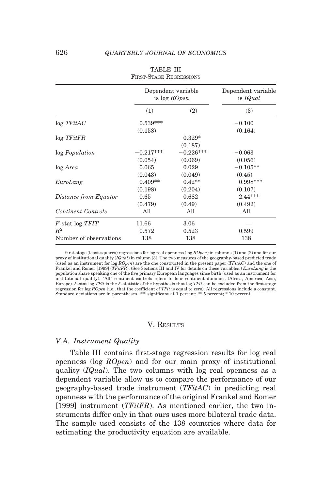|                           | Dependent variable<br>is log ROpen |             | Dependent variable<br>is $I\mathcal{Q}ual$ |
|---------------------------|------------------------------------|-------------|--------------------------------------------|
|                           | (1)                                | (2)         | (3)                                        |
| $log$ $TFitAC$            | $0.539***$                         |             | $-0.100$                                   |
|                           | (0.158)                            |             | (0.164)                                    |
| $log$ TFitFR              |                                    | $0.329*$    |                                            |
|                           |                                    | (0.187)     |                                            |
| log Population            | $-0.217***$                        | $-0.226***$ | $-0.063$                                   |
|                           | (0.054)                            | (0.069)     | (0.056)                                    |
| log Area                  | 0.065                              | 0.029       | $-0.105**$                                 |
|                           | (0.043)                            | (0.049)     | (0.45)                                     |
| EuroLang                  | $0.409**$                          | $0.42**$    | $0.998***$                                 |
|                           | (0.198)                            | (0.204)     | (0.107)                                    |
| Distance from Equator     | 0.65                               | 0.682       | $2.44***$                                  |
|                           | (0.479)                            | (0.49)      | (0.492)                                    |
| <b>Continent Controls</b> | All                                | All         | All                                        |
| <i>F</i> -stat log TFIT   | 11.66                              | 3.06        |                                            |
| $R^2$                     | 0.572                              | 0.523       | 0.599                                      |
| Number of observations    | 138                                | 138         | 138                                        |

**TABLE III FIRST-STAGE REGRESSIONS** 

First-stage (least-squares) regressions for log real openness ( $log ROpen$ ) in columns (1) and (2) and for our proxy of institutional quality  $(IQual)$  in column (3). The two measures of the geography-based predicted trade (used as an instrument for  $log ROpen$ ) are the one constructed in the present paper (*TFitAC*) and the one of Frankel and Romer [1999]  $(T\overline{F}$ it $F\hat{R}$ ). (See Sections III and IV for details on these variables.) *EuroLang* is the population share speaking one of the five primary European languages since birth (used as an instrument for institutional quality). "All" continent controls refers to four continent dummies (Africa, America, Asia, Europe). F-stat log TFit is the F-statistic of the hypothesis that log TFit can be excluded from the first-stage regression for  $log ROpen$  (i.e., that the coefficient of TFit is equal to zero). All regressions include a constant. Standard deviations are in parentheses. \*\*\* significant at 1 percent; \*\* 5 percent; \* 10 percent.

# **V RESULTS**

#### V.A. Instrument Quality

Table III contains first-stage regression results for log real openness ( $log ROpen$ ) and for our main proxy of institutional quality  $(IQual)$ . The two columns with log real openness as a dependent variable allow us to compare the performance of our geography-based trade instrument *(TFitAC)* in predicting real openness with the performance of the original Frankel and Romer [1999] instrument  $(TFitFR)$ . As mentioned earlier, the two instruments differ only in that ours uses more bilateral trade data. The sample used consists of the 138 countries where data for estimating the productivity equation are available.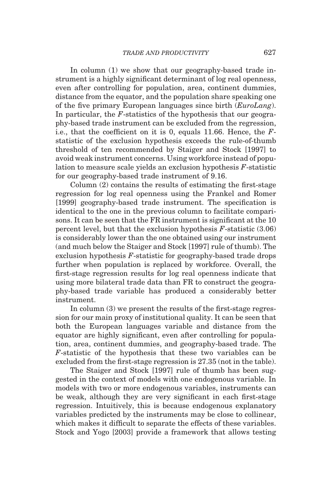In column (1) we show that our geography-based trade instrument is a highly significant determinant of log real openness. even after controlling for population, area, continent dummies, distance from the equator, and the population share speaking one of the five primary European languages since birth (*EuroLang*). In particular, the  $F$ -statistics of the hypothesis that our geography-based trade instrument can be excluded from the regression, i.e., that the coefficient on it is 0, equals 11.66. Hence, the  $F$ statistic of the exclusion hypothesis exceeds the rule-of-thumb threshold of ten recommended by Staiger and Stock [1997] to avoid weak instrument concerns. Using workforce instead of population to measure scale yields an exclusion hypothesis  $F$ -statistic for our geography-based trade instrument of 9.16.

Column  $(2)$  contains the results of estimating the first-stage regression for log real openness using the Frankel and Romer [1999] geography-based trade instrument. The specification is identical to the one in the previous column to facilitate comparisons. It can be seen that the FR instrument is significant at the 10 percent level, but that the exclusion hypothesis  $F$ -statistic  $(3.06)$ is considerably lower than the one obtained using our instrument (and much below the Staiger and Stock [1997] rule of thumb). The exclusion hypothesis  $F$ -statistic for geography-based trade drops further when population is replaced by workforce. Overall, the first-stage regression results for log real openness indicate that using more bilateral trade data than FR to construct the geography-based trade variable has produced a considerably better instrument

In column  $(3)$  we present the results of the first-stage regression for our main proxy of institutional quality. It can be seen that both the European languages variable and distance from the equator are highly significant, even after controlling for population, area, continent dummies, and geography-based trade. The  $F$ -statistic of the hypothesis that these two variables can be excluded from the first-stage regression is 27.35 (not in the table).

The Staiger and Stock [1997] rule of thumb has been suggested in the context of models with one endogenous variable. In models with two or more endogenous variables, instruments can be weak, although they are very significant in each first-stage regression. Intuitively, this is because endogenous explanatory variables predicted by the instruments may be close to collinear, which makes it difficult to separate the effects of these variables. Stock and Yogo [2003] provide a framework that allows testing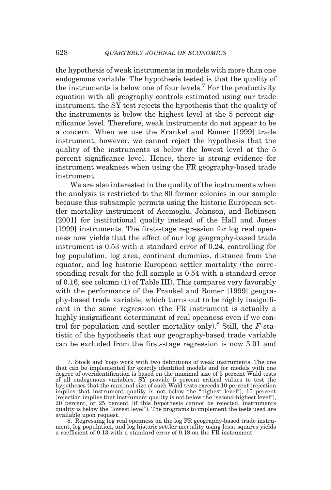the hypothesis of weak instruments in models with more than one endogenous variable. The hypothesis tested is that the quality of the instruments is below one of four levels.<sup>7</sup> For the productivity equation with all geography controls estimated using our trade instrument, the SY test rejects the hypothesis that the quality of the instruments is below the highest level at the 5 percent significance level. Therefore, weak instruments do not appear to be a concern. When we use the Frankel and Romer [1999] trade instrument, however, we cannot reject the hypothesis that the quality of the instruments is below the lowest level at the 5 percent significance level. Hence, there is strong evidence for instrument weakness when using the FR geography-based trade instrument.

We are also interested in the quality of the instruments when the analysis is restricted to the 80 former colonies in our sample because this subsample permits using the historic European settler mortality instrument of Acemoglu, Johnson, and Robinson [2001] for institutional quality instead of the Hall and Jones [1999] instruments. The first-stage regression for log real openness now yields that the effect of our log geography-based trade instrument is 0.53 with a standard error of 0.24, controlling for log population, log area, continent dummies, distance from the equator, and log historic European settler mortality (the corresponding result for the full sample is 0.54 with a standard error of 0.16, see column  $(1)$  of Table III). This compares very favorably with the performance of the Frankel and Romer [1999] geography-based trade variable, which turns out to be highly insignificant in the same regression (the FR instrument is actually a highly insignificant determinant of real openness even if we control for population and settler mortality only).<sup>8</sup> Still, the  $F$ -statistic of the hypothesis that our geography-based trade variable can be excluded from the first-stage regression is now 5.01 and

7. Stock and Yogo work with two definitions of weak instruments. The one that can be implemented for exactly identified models and for models with one degree of overidentification is based on the maximal size of 5 percent Wald tests<br>of all endogenous variables. SY provide 5 percent critical values to test the<br>hypotheses that the maximal size of such Wald tests exceeds 10 implies that instrument quality is not below the "highest level"), 15 percent (rejection implies that instrument quality is not below the "highest level"), 15 percent According to the process of the state of this hypothesis cannot be rejected, instruments<br>quality is below the "lowest level"). The programs to implement the tests used are available upon request.

8. Regressing log real openness on the log FR geography-based trade instrument, log population, and log historic settler mortality using least squares yields<br>a coefficient of 0.13 with a standard error of 0.18 on the FR instrument.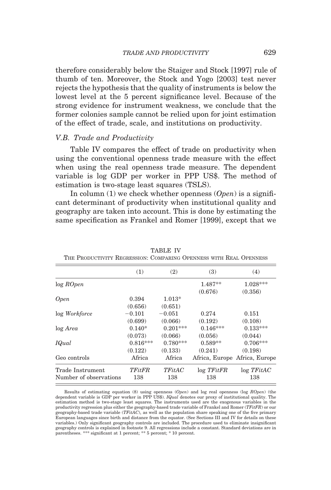therefore considerably below the Staiger and Stock [1997] rule of thumb of ten. Moreover, the Stock and Yogo [2003] test never rejects the hypothesis that the quality of instruments is below the lowest level at the 5 percent significance level. Because of the strong evidence for instrument weakness, we conclude that the former colonies sample cannot be relied upon for joint estimation of the effect of trade, scale, and institutions on productivity.

#### V.B. Trade and Productivity

Table IV compares the effect of trade on productivity when using the conventional openness trade measure with the effect when using the real openness trade measure. The dependent variable is log GDP per worker in PPP US\$. The method of estimation is two-stage least squares (TSLS).

In column (1) we check whether openness  $(Open)$  is a significant determinant of productivity when institutional quality and geography are taken into account. This is done by estimating the same specification as Frankel and Romer [1999], except that we

|                        | (1)           | (2)        | (3)          | (4)                           |
|------------------------|---------------|------------|--------------|-------------------------------|
| log ROpen              |               |            | $1.487**$    | $1.028***$                    |
|                        |               |            | (0.676)      | (0.356)                       |
| <i>Open</i>            | 0.394         | $1.013*$   |              |                               |
|                        | (0.656)       | (0.651)    |              |                               |
| log Workforce          | $-0.101$      | $-0.051$   | 0.274        | 0.151                         |
|                        | (0.699)       | (0.066)    | (0.192)      | (0.108)                       |
| log Area               | $0.140*$      | $0.201***$ | $0.146***$   | $0.133***$                    |
|                        | (0.073)       | (0.066)    | (0.056)      | (0.044)                       |
| <i>IQual</i>           | $0.816***$    | $0.780***$ | $0.589**$    | $0.706***$                    |
|                        | (0.122)       | (0.133)    | (0.241)      | (0.198)                       |
| Geo controls           | Africa        | Africa     |              | Africa, Europe Africa, Europe |
| Trade Instrument       | <b>TFitFR</b> | TFitAC     | $log$ TFitFR | $log$ $TFitAC$                |
| Number of observations | 138           | 138        | 138          | 138                           |
|                        |               |            |              |                               |

**TABLE IV** 

THE PRODUCTIVITY REGRESSION: COMPARING OPENNESS WITH REAL OPENNESS

Results of estimating equation (8) using openness  $(Open)$  and log real openness  $(log ROpen)$  (the dependent variable is GDP per worker in PPP US\$). *IQual* denotes our proxy of institutional quality. The estimation method is two-stage least squares. The instruments used are the exogenous variables in the productivity regression plus either the geography-based trade variable of Frankel and Romer (TFitFR) or our geography-based trade variable  $(TFitAC)$ , as well as the population share speaking one of the five primary European languages since birth and distance from the equator. (See Sections III and IV for details on these variables.) Only significant geography controls are included. The procedure used to eliminate insignificant geography controls is explained in footnote 9. All regressions include a constant. Standard deviations are in parentheses. \*\*\* significant at 1 percent; \*\* 5 percent; \* 10 percent.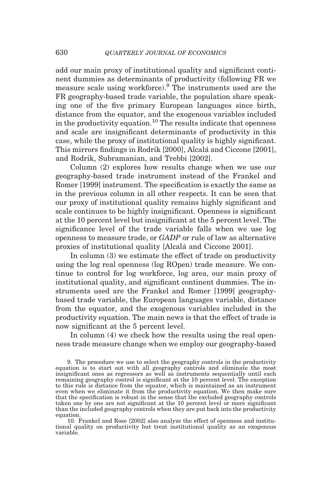add our main proxy of institutional quality and significant continent dummies as determinants of productivity (following FR we measure scale using workforce).<sup>9</sup> The instruments used are the FR geography-based trade variable, the population share speaking one of the five primary European languages since birth, distance from the equator, and the exogenous variables included in the productivity equation.<sup>10</sup> The results indicate that openness and scale are insignificant determinants of productivity in this case, while the proxy of institutional quality is highly significant. This mirrors findings in Rodrik [2000], Alcalá and Ciccone [2001], and Rodrik, Subramanian, and Trebbi [2002].

Column  $(2)$  explores how results change when we use our geography-based trade instrument instead of the Frankel and Romer [1999] instrument. The specification is exactly the same as in the previous column in all other respects. It can be seen that our proxy of institutional quality remains highly significant and scale continues to be highly insignificant. Openness is significant at the 10 percent level but insignificant at the 5 percent level. The significance level of the trade variable falls when we use log openness to measure trade, or GADP or rule of law as alternative proxies of institutional quality [Alcalá and Ciccone 2001].

In column  $(3)$  we estimate the effect of trade on productivity using the log real openness (log ROpen) trade measure. We continue to control for log workforce, log area, our main proxy of institutional quality, and significant continent dummies. The instruments used are the Frankel and Romer [1999] geographybased trade variable, the European languages variable, distance from the equator, and the exogenous variables included in the productivity equation. The main news is that the effect of trade is now significant at the 5 percent level.

In column  $(4)$  we check how the results using the real openness trade measure change when we employ our geography-based

630

<sup>9.</sup> The procedure we use to select the geography controls in the productivity equation is to start out with all geography controls and eliminate the most insignificant ones as regressors as well as instruments sequentially until each<br>remaining geography control is significant at the 10 percent level. The exception to this rule is distance from the equator, which is maintained as an instrument even when we eliminate it from the productivity equation. We then make sure<br>that the specification is robust in the sense that the excluded geography controls taken one by one are not significant at the 10 percent level or more significant than the included geography controls when they are put back into the productivity equation.

<sup>10.</sup> Frankel and Rose [2002] also analyze the effect of openness and institutional quality on productivity but treat institutional quality as an exogenous variable.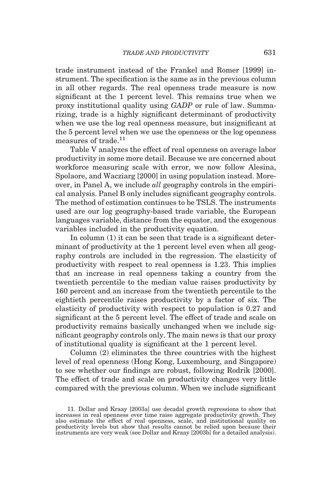trade instrument instead of the Frankel and Romer [1999] instrument. The specification is the same as in the previous column in all other regards. The real openness trade measure is now significant at the 1 percent level. This remains true when we proxy institutional quality using GADP or rule of law. Summarizing, trade is a highly significant determinant of productivity when we use the log real openness measure, but insignificant at the 5 percent level when we use the openness or the log openness measures of trade.<sup>11</sup>

Table V analyzes the effect of real openness on average labor productivity in some more detail. Because we are concerned about workforce measuring scale with error, we now follow Alesina, Spolaore, and Wacziarg [2000] in using population instead. Moreover, in Panel A, we include all geography controls in the empirical analysis. Panel B only includes significant geography controls. The method of estimation continues to be TSLS. The instruments used are our log geography-based trade variable, the European languages variable, distance from the equator, and the exogenous variables included in the productivity equation.

In column (1) it can be seen that trade is a significant determinant of productivity at the 1 percent level even when all geography controls are included in the regression. The elasticity of productivity with respect to real openness is 1.23. This implies that an increase in real openness taking a country from the twentieth percentile to the median value raises productivity by 160 percent and an increase from the twentieth percentile to the eightieth percentile raises productivity by a factor of six. The elasticity of productivity with respect to population is 0.27 and significant at the 5 percent level. The effect of trade and scale on productivity remains basically unchanged when we include significant geography controls only. The main news is that our proxy of institutional quality is significant at the 1 percent level.

Column (2) eliminates the three countries with the highest level of real openness (Hong Kong, Luxembourg, and Singapore) to see whether our findings are robust, following Rodrik [2000]. The effect of trade and scale on productivity changes very little compared with the previous column. When we include significant

<sup>11.</sup> Dollar and Kraay [2003a] use decadal growth regressions to show that increases in real openness over time raise aggregate productivity growth. They mercases in real openeds over the rane aggregate productivity given in<br>also estimate the effect of real openness, scale, and institutional quality on<br>productivity levels but show that results cannot be relied upon because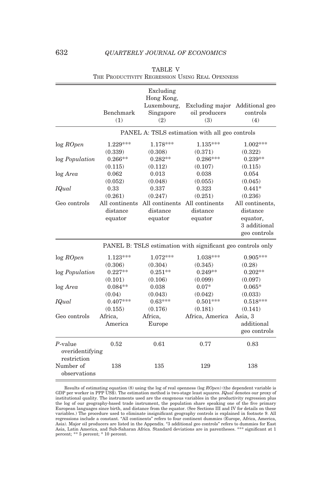#### **QUARTERLY JOURNAL OF ECONOMICS**

|                                              | Benchmark<br>(1)                      | Excluding<br>Hong Kong,<br>Luxembourg,<br>Singapore<br>(2) | Excluding major Additional geo<br>oil producers<br>(3)      | controls<br>(4)                                                         |
|----------------------------------------------|---------------------------------------|------------------------------------------------------------|-------------------------------------------------------------|-------------------------------------------------------------------------|
|                                              |                                       |                                                            | PANEL A: TSLS estimation with all geo controls              |                                                                         |
| log ROpen                                    | $1.229***$                            | $1.178***$                                                 | $1.135***$                                                  | $1.002***$                                                              |
|                                              | (0.339)                               | (0.308)                                                    | (0.371)                                                     | (0.322)                                                                 |
| log Population                               | $0.266**$                             | $0.282**$                                                  | $0.286***$                                                  | $0.239**$                                                               |
|                                              | (0.115)                               | (0.112)                                                    | (0.107)                                                     | (0.115)                                                                 |
| log Area                                     | 0.062                                 | 0.013                                                      | 0.038                                                       | 0.054                                                                   |
|                                              | (0.052)                               | (0.048)                                                    | (0.055)                                                     | (0.045)                                                                 |
| <b>IQual</b>                                 | 0.33                                  | 0.337                                                      | 0.323                                                       | $0.441*$                                                                |
|                                              | (0.261)                               | (0.247)                                                    | (0.251)                                                     | (0.236)                                                                 |
| Geo controls                                 | All continents<br>distance<br>equator | All continents<br>distance<br>equator                      | All continents<br>distance<br>equator                       | All continents,<br>distance<br>equator,<br>3 additional<br>geo controls |
|                                              |                                       |                                                            | PANEL B: TSLS estimation with significant geo controls only |                                                                         |
| log ROpen                                    | $1.123***$                            | $1.072***$                                                 | 1.038***                                                    | $0.905***$                                                              |
|                                              | (0.306)                               | (0.304)                                                    | (0.345)                                                     | (0.28)                                                                  |
| log Population                               | $0.227**$                             | $0.251**$                                                  | $0.249**$                                                   | $0.202**$                                                               |
|                                              | (0.101)                               | (0.106)                                                    | (0.099)                                                     | (0.097)                                                                 |
| log Area                                     | $0.084**$                             | 0.038                                                      | $0.07*$                                                     | $0.065*$                                                                |
|                                              | (0.04)                                | (0.043)                                                    | (0.042)                                                     | (0.033)                                                                 |
| <b>IQual</b>                                 | $0.407***$                            | $0.63***$                                                  | $0.501***$                                                  | $0.518***$                                                              |
|                                              | (0.155)                               | (0.176)                                                    | (0.181)                                                     | (0.141)                                                                 |
| Geo controls                                 | Africa,<br>America                    | Africa,<br>Europe                                          | Africa, America                                             | Asia, 3<br>additional<br>geo controls                                   |
| $P$ -value<br>overidentifying<br>restriction | 0.52                                  | 0.61                                                       | 0.77                                                        | 0.83                                                                    |
| Number of<br>observations                    | 138                                   | 135                                                        | 129                                                         | 138                                                                     |

|                                                 | TABLE V |  |  |
|-------------------------------------------------|---------|--|--|
| THE PRODUCTIVITY REGRESSION USING REAL OPENNESS |         |  |  |

Results of estimating equation (8) using the log of real openness ( $log ROpen$ ) (the dependent variable is GDP per worker in PPP US\$). The estimation method is two-stage least squares. IQual denotes our proxy of institutional quality. The instruments used are the exogenous variables in the productivity regression plus the log of our geography-based trade instrument, the population share speaking one of the five primary European languages since birth, and distance from the equator. (See Sections III and IV for details on these variables.) The procedure used to eliminate insignificant geography controls is explained in footnote 9. All<br>regressions include a constant. "All continents" refers to four continent dummies (Europe, Africa, America, Asia). Major oil producers are listed in the Appendix. "3 additional geo controls" refers to dummies for East Asia, Latin America, and Sub-Saharan Africa. Standard deviations are in parentheses. \*\*\* significant at 1 percent; \*\* 5 percent; \* 10 percent.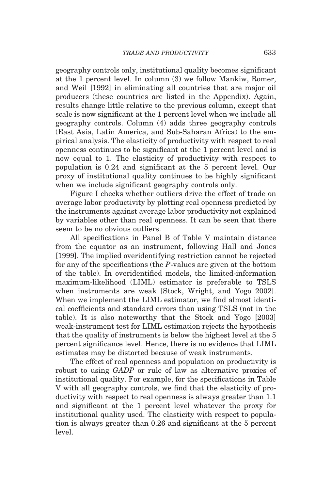geography controls only, institutional quality becomes significant at the 1 percent level. In column (3) we follow Mankiw, Romer, and Weil [1992] in eliminating all countries that are major oil producers (these countries are listed in the Appendix). Again, results change little relative to the previous column, except that scale is now significant at the 1 percent level when we include all geography controls. Column (4) adds three geography controls (East Asia, Latin America, and Sub-Saharan Africa) to the empirical analysis. The elasticity of productivity with respect to real openness continues to be significant at the 1 percent level and is now equal to 1. The elasticity of productivity with respect to population is 0.24 and significant at the 5 percent level. Our proxy of institutional quality continues to be highly significant when we include significant geography controls only.

Figure I checks whether outliers drive the effect of trade on average labor productivity by plotting real openness predicted by the instruments against average labor productivity not explained by variables other than real openness. It can be seen that there seem to be no obvious outliers.

All specifications in Panel B of Table V maintain distance from the equator as an instrument, following Hall and Jones [1999]. The implied overidentifying restriction cannot be rejected for any of the specifications (the  $P$ -values are given at the bottom of the table). In overidentified models, the limited-information maximum-likelihood (LIML) estimator is preferable to TSLS when instruments are weak [Stock, Wright, and Yogo 2002]. When we implement the LIML estimator, we find almost identical coefficients and standard errors than using TSLS (not in the table). It is also noteworthy that the Stock and Yogo [2003] weak-instrument test for LIML estimation rejects the hypothesis that the quality of instruments is below the highest level at the 5 percent significance level. Hence, there is no evidence that LIML estimates may be distorted because of weak instruments.

The effect of real openness and population on productivity is robust to using GADP or rule of law as alternative proxies of institutional quality. For example, for the specifications in Table V with all geography controls, we find that the elasticity of productivity with respect to real openness is always greater than 1.1 and significant at the 1 percent level whatever the proxy for institutional quality used. The elasticity with respect to population is always greater than 0.26 and significant at the 5 percent  $level$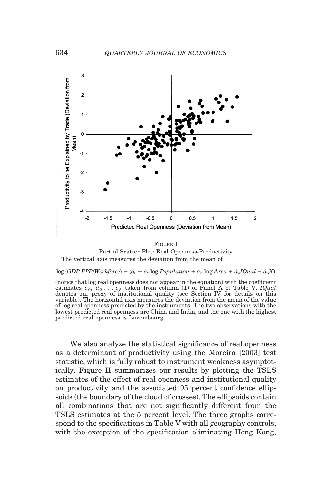

FIGURE I Partial Scatter Plot: Real Openness-Productivity The vertical axis measures the deviation from the mean of

 $\log (GDP PP P P W or k force) - (\hat{a}_0 + \hat{a}_2 \log Population + \hat{a}_3 \log Area + \hat{a}_4 I Q u a l + \hat{a}_5 X)$ 

(notice that log real openness does not appear in the equation) with the coefficient estimates  $\hat{a}_0$ ,  $\hat{a}_2$ ... $\hat{a}_5$  taken from column (1) of Panel A of Table V. IQual denotes our proxy of institutional quality (see Section IV for details on this variable). The horizontal axis measures the deviation from the mean of the value of log real openness predicted by the instruments. The two observations with the lowest predicted real openness are China and India, and the one with the highest predicted real openness is Luxembourg.

We also analyze the statistical significance of real openness as a determinant of productivity using the Moreira [2003] test statistic, which is fully robust to instrument weakness asymptotically. Figure II summarizes our results by plotting the TSLS estimates of the effect of real openness and institutional quality on productivity and the associated 95 percent confidence ellipsoids (the boundary of the cloud of crosses). The ellipsoids contain all combinations that are not significantly different from the TSLS estimates at the 5 percent level. The three graphs correspond to the specifications in Table V with all geography controls, with the exception of the specification eliminating Hong Kong,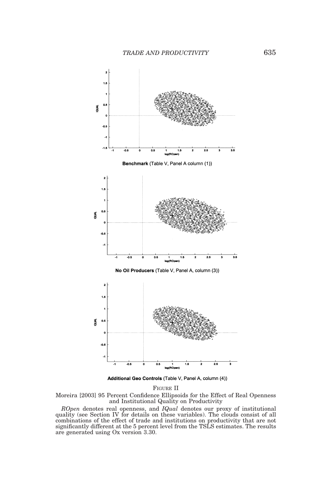

Additional Geo Controls (Table V, Panel A, column (4))

**FIGURE II** 

Moreira [2003] 95 Percent Confidence Ellipsoids for the Effect of Real Openness and Institutional Quality on Productivity

ROpen denotes real openness, and IQual denotes our proxy of institutional quality (see Section IV for details on these variables). The clouds consist of all combinations of the effect of trade and institutions on productivity that are not significantly different at the 5 percent level from the TSLS estimates. The results are generated using Ox version 3.30.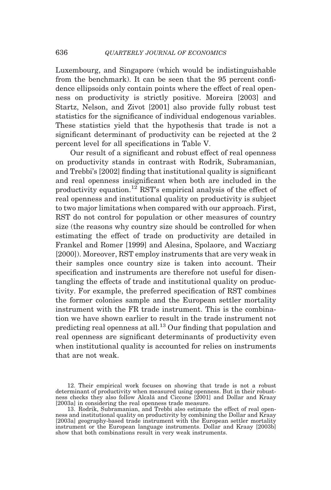Luxembourg, and Singapore (which would be indistinguishable from the benchmark). It can be seen that the 95 percent confidence ellipsoids only contain points where the effect of real openness on productivity is strictly positive. Moreira [2003] and Startz, Nelson, and Zivot [2001] also provide fully robust test statistics for the significance of individual endogenous variables. These statistics yield that the hypothesis that trade is not a significant determinant of productivity can be rejected at the 2 percent level for all specifications in Table V.

Our result of a significant and robust effect of real openness on productivity stands in contrast with Rodrik, Subramanian, and Trebbi's [2002] finding that institutional quality is significant and real openness insignificant when both are included in the productivity equation.<sup>12</sup> RST's empirical analysis of the effect of real openness and institutional quality on productivity is subject to two major limitations when compared with our approach. First, RST do not control for population or other measures of country size (the reasons why country size should be controlled for when estimating the effect of trade on productivity are detailed in Frankel and Romer [1999] and Alesina, Spolaore, and Wacziarg [2000]). Moreover, RST employ instruments that are very weak in their samples once country size is taken into account. Their specification and instruments are therefore not useful for disentangling the effects of trade and institutional quality on productivity. For example, the preferred specification of RST combines the former colonies sample and the European settler mortality instrument with the FR trade instrument. This is the combination we have shown earlier to result in the trade instrument not predicting real openness at all.<sup>13</sup> Our finding that population and real openness are significant determinants of productivity even when institutional quality is accounted for relies on instruments that are not weak.

<sup>12.</sup> Their empirical work focuses on showing that trade is not a robust determinant of productivity when measured using openess. But in their robust-<br>ness checks they also follow Alcalá and Ciccone [2001] and Dollar and Kraay [2003a] in considering the real openness trade measure.

<sup>13.</sup> Rodrik, Subramanian, and Trebbi also estimate the effect of real openness and institutional quality on productivity by combining the Dollar and Kraay [2003a] geography-based trade instrument with the European settler mortality instrument or the European language instruments. Dollar and Kraay [2003b] show that both combinations result in very weak instruments.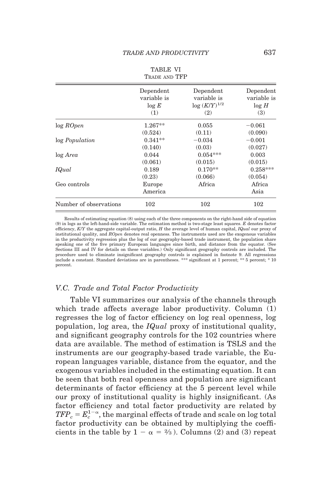|                        | Dependent<br>variable is<br>log E<br>(1) | Dependent<br>variable is<br>$log (K/Y)^{1/2}$<br>(2) | Dependent<br>variable is<br>log H<br>(3) |
|------------------------|------------------------------------------|------------------------------------------------------|------------------------------------------|
| log ROpen              | $1.267**$                                | 0.055                                                | $-0.061$                                 |
|                        | (0.524)                                  | (0.11)                                               | (0.090)                                  |
| log Population         | $0.341**$                                | $-0.034$                                             | $-0.001$                                 |
|                        | (0.140)                                  | (0.03)                                               | (0.027)                                  |
| log Area               | 0.044                                    | $0.054***$                                           | 0.003                                    |
|                        | (0.061)                                  | (0.015)                                              | (0.015)                                  |
| <i>IQual</i>           | 0.189                                    | $0.170**$                                            | $0.258***$                               |
|                        | (0.23)                                   | (0.066)                                              | (0.054)                                  |
| Geo controls           | Europe                                   | Africa                                               | Africa                                   |
|                        | America                                  |                                                      | Asia                                     |
| Number of observations | 102                                      | 102                                                  | 102                                      |

**TABLE VI TRADE AND TFP** 

Results of estimating equation (8) using each of the three components on the right-hand side of equation  $(9)$  in logs as the left-hand-side variable. The estimation method is two-stage least squares. E denotes factor efficiency,  $K/Y$  the aggregate capital-output ratio, H the average level of human capital, IQual our proxy of institutional quality, and *ROpen* denotes real openness. The instruments used are the exogenous variables in the productivity regression plus the log of our geography-based trade instrument, the population share speaking one of the five primary European languages since birth, and distance from the equator. (See Sections III and IV for details on these variables.) Only significant geography controls are included. The procedure used to eliminate insignificant geography controls is explained in footnote 9. All regressions include a constant. Standard deviations are in parentheses. \*\*\* significant at 1 percent; \*\* 5 percent; \* 10 percent.

# V.C. Trade and Total Factor Productivity

Table VI summarizes our analysis of the channels through which trade affects average labor productivity. Column (1) regresses the log of factor efficiency on log real openness, log population, log area, the *IQual* proxy of institutional quality, and significant geography controls for the 102 countries where data are available. The method of estimation is TSLS and the instruments are our geography-based trade variable, the European languages variable, distance from the equator, and the exogenous variables included in the estimating equation. It can be seen that both real openness and population are significant determinants of factor efficiency at the 5 percent level while our proxy of institutional quality is highly insignificant. (As factor efficiency and total factor productivity are related by  $TFP<sub>c</sub> = E<sub>c</sub><sup>1-\alpha</sup>$ , the marginal effects of trade and scale on log total factor productivity can be obtained by multiplying the coefficients in the table by  $1 - \alpha = \frac{2}{3}$ . Columns (2) and (3) repeat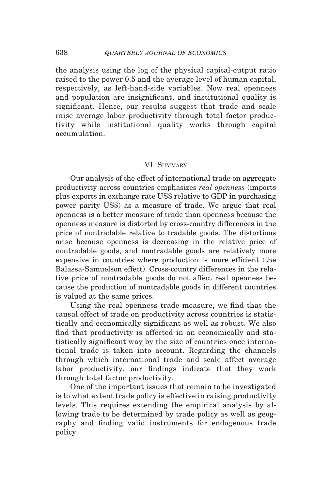the analysis using the log of the physical capital-output ratio raised to the power 0.5 and the average level of human capital, respectively, as left-hand-side variables. Now real openness and population are insignificant, and institutional quality is significant. Hence, our results suggest that trade and scale raise average labor productivity through total factor productivity while institutional quality works through capital accumulation

# **VI SUMMARY**

Our analysis of the effect of international trade on aggregate productivity across countries emphasizes *real openness* (imports) plus exports in exchange rate US\$ relative to GDP in purchasing power parity US\$) as a measure of trade. We argue that real openness is a better measure of trade than openness because the openness measure is distorted by cross-country differences in the price of nontradable relative to tradable goods. The distortions arise because openness is decreasing in the relative price of nontradable goods, and nontradable goods are relatively more expensive in countries where production is more efficient (the Balassa-Samuelson effect). Cross-country differences in the relative price of nontradable goods do not affect real openness because the production of nontradable goods in different countries is valued at the same prices.

Using the real openness trade measure, we find that the causal effect of trade on productivity across countries is statistically and economically significant as well as robust. We also find that productivity is affected in an economically and statistically significant way by the size of countries once international trade is taken into account. Regarding the channels through which international trade and scale affect average labor productivity, our findings indicate that they work through total factor productivity.

One of the important issues that remain to be investigated is to what extent trade policy is effective in raising productivity levels. This requires extending the empirical analysis by allowing trade to be determined by trade policy as well as geography and finding valid instruments for endogenous trade policy.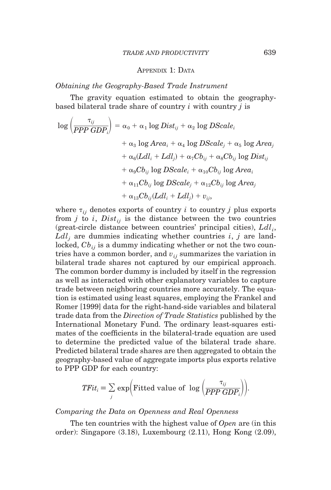#### APPENDIX 1: DATA

#### Obtaining the Geography-Based Trade Instrument

The gravity equation estimated to obtain the geographybased bilateral trade share of country  $i$  with country  $j$  is

$$
\begin{aligned} \log\left(\frac{\tau_{ij}}{PPP\ GDP_i}\right) = \alpha_0 + \alpha_1\log Dist_{ij} + \alpha_2\log DScale_i \\ & + \alpha_3\log Area_i + \alpha_4\log DScale_j + \alpha_5\log Area_j \\ & + \alpha_6(Ldl_i + Ldl_j) + \alpha_7Cb_{ij} + \alpha_8Cb_{ij}\log Dist_{ij} \\ & + \alpha_9Cb_{ij}\log DScale_i + \alpha_{10}Cb_{ij}\log Area_i \\ & + \alpha_{11}Cb_{ij}\log DScale_j + \alpha_{12}Cb_{ij}\log Area_j \\ & + \alpha_{13}Cb_{ij}(Ldl_i + Ldl_j) + v_{ij}, \end{aligned}
$$

where  $\tau_{ii}$  denotes exports of country *i* to country *j* plus exports from *j* to *i*, *Dist<sub>ii</sub>* is the distance between the two countries (great-circle distance between countries' principal cities),  $Ldl_i$ ,  $Ldl_i$  are dummies indicating whether countries i, j are landlocked,  $Cb_{ii}$  is a dummy indicating whether or not the two countries have a common border, and  $v_{ii}$  summarizes the variation in bilateral trade shares not captured by our empirical approach. The common border dummy is included by itself in the regression as well as interacted with other explanatory variables to capture trade between neighboring countries more accurately. The equation is estimated using least squares, employing the Frankel and Romer [1999] data for the right-hand-side variables and bilateral trade data from the *Direction of Trade Statistics* published by the International Monetary Fund. The ordinary least-squares estimates of the coefficients in the bilateral-trade equation are used to determine the predicted value of the bilateral trade share. Predicted bilateral trade shares are then aggregated to obtain the geography-based value of aggregate imports plus exports relative to PPP GDP for each country:

$$
TFit_i = \sum_j \exp\left(\text{Fitted value of } \log \left(\frac{\tau_{ij}}{PPP\ GDP_i}\right)\right)
$$

#### Comparing the Data on Openness and Real Openness

The ten countries with the highest value of  $Open$  are (in this order): Singapore  $(3.18)$ , Luxembourg  $(2.11)$ , Hong Kong  $(2.09)$ ,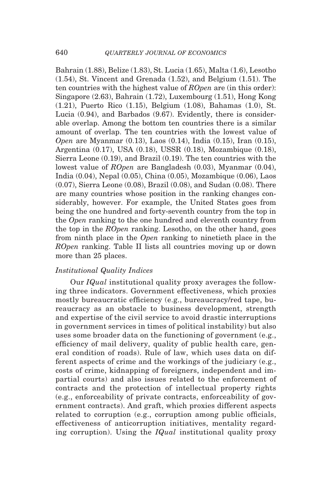Bahrain (1.88), Belize (1.83), St. Lucia (1.65), Malta (1.6), Lesotho  $(1.54)$ , St. Vincent and Grenada  $(1.52)$ , and Belgium  $(1.51)$ . The ten countries with the highest value of *ROpen* are (in this order): Singapore  $(2.63)$ , Bahrain  $(1.72)$ , Luxembourg  $(1.51)$ , Hong Kong  $(1.21)$ , Puerto Rico  $(1.15)$ , Belgium  $(1.08)$ , Bahamas  $(1.0)$ , St. Lucia (0.94), and Barbados (9.67). Evidently, there is considerable overlap. Among the bottom ten countries there is a similar amount of overlap. The ten countries with the lowest value of *Open* are Myanmar  $(0.13)$ , Laos  $(0.14)$ , India  $(0.15)$ , Iran  $(0.15)$ , Argentina (0.17), USA (0.18), USSR (0.18), Mozambique (0.18), Sierra Leone  $(0.19)$ , and Brazil  $(0.19)$ . The ten countries with the lowest value of  $ROpen$  are Bangladesh  $(0.03)$ , Myanmar  $(0.04)$ , India  $(0.04)$ , Nepal  $(0.05)$ , China  $(0.05)$ , Mozambique  $(0.06)$ , Laos  $(0.07)$ , Sierra Leone  $(0.08)$ , Brazil  $(0.08)$ , and Sudan  $(0.08)$ . There are many countries whose position in the ranking changes considerably, however. For example, the United States goes from being the one hundred and forty-seventh country from the top in the Open ranking to the one hundred and eleventh country from the top in the *ROpen* ranking. Lesotho, on the other hand, goes from ninth place in the *Open* ranking to ninetieth place in the *ROpen* ranking. Table II lists all countries moving up or down more than 25 places.

# **Institutional Quality Indices**

Our *IQual* institutional quality proxy averages the following three indicators. Government effectiveness, which proxies mostly bureaucratic efficiency (e.g., bureaucracy/red tape, bureaucracy as an obstacle to business development, strength and expertise of the civil service to avoid drastic interruptions in government services in times of political instability) but also uses some broader data on the functioning of government (e.g., efficiency of mail delivery, quality of public health care, general condition of roads). Rule of law, which uses data on different aspects of crime and the workings of the judiciary (e.g., costs of crime, kidnapping of foreigners, independent and impartial courts) and also issues related to the enforcement of contracts and the protection of intellectual property rights (e.g., enforceability of private contracts, enforceability of government contracts). And graft, which proxies different aspects related to corruption (e.g., corruption among public officials, effectiveness of anticorruption initiatives, mentality regarding corruption). Using the *IQual* institutional quality proxy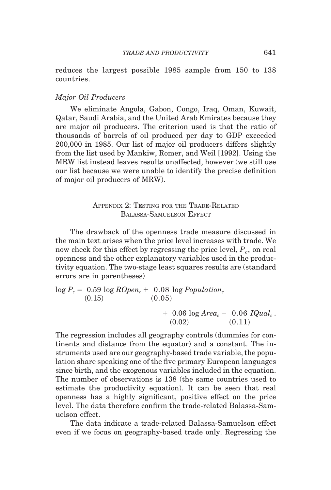reduces the largest possible 1985 sample from 150 to 138 countries.

# Major Oil Producers

We eliminate Angola, Gabon, Congo, Iraq, Oman, Kuwait, Qatar, Saudi Arabia, and the United Arab Emirates because they are major oil producers. The criterion used is that the ratio of thousands of barrels of oil produced per day to GDP exceeded 200,000 in 1985. Our list of major oil producers differs slightly from the list used by Mankiw. Romer, and Weil [1992]. Using the MRW list instead leaves results unaffected, however (we still use our list because we were unable to identify the precise definition of major oil producers of MRW).

# APPENDIX 2. TESTING FOR THE TRADE-RELATED **BALASSA-SAMIELSON EFFECT**

The drawback of the openness trade measure discussed in the main text arises when the price level increases with trade. We now check for this effect by regressing the price level,  $P<sub>e</sub>$ , on real openness and the other explanatory variables used in the productivity equation. The two-stage least squares results are (standard errors are in parentheses)

$$
\log P_c = 0.59 \log ROpen_c + 0.08 \log Population_c
$$
  
(0.15)  

$$
+ 0.06 \log Area_c - 0.06 IQual_c.
$$
  

$$
(0.02) (0.11)
$$

The regression includes all geography controls (dummies for continents and distance from the equator) and a constant. The instruments used are our geography-based trade variable, the population share speaking one of the five primary European languages since birth, and the exogenous variables included in the equation. The number of observations is 138 (the same countries used to estimate the productivity equation). It can be seen that real openness has a highly significant, positive effect on the price level The data therefore confirm the trade-related Balassa-Samuelson effect

The data indicate a trade-related Balassa-Samuelson effect even if we focus on geography-based trade only. Regressing the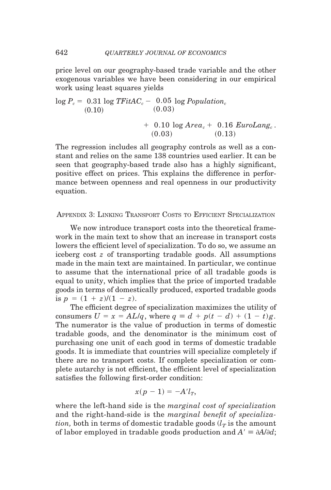price level on our geography-based trade variable and the other exogenous variables we have been considering in our empirical work using least squares yields

$$
\log P_c = 0.31 \log TFitAC_c - 0.05 \log Population_c
$$
  
(0.10)  

$$
+ 0.10 \log Area_c + 0.16 \; EuroLang_c.
$$
  

$$
(0.03) \qquad (0.13)
$$

The regression includes all geography controls as well as a constant and relies on the same 138 countries used earlier. It can be seen that geography-based trade also has a highly significant, positive effect on prices. This explains the difference in performance between openness and real openness in our productivity equation.

APPENDIX 3: LINKING TRANSPORT COSTS TO EFFICIENT SPECIALIZATION

We now introduce transport costs into the theoretical framework in the main text to show that an increase in transport costs lowers the efficient level of specialization. To do so, we assume an iceberg cost  $z$  of transporting tradable goods. All assumptions made in the main text are maintained. In particular, we continue to assume that the international price of all tradable goods is equal to unity, which implies that the price of imported tradable goods in terms of domestically produced, exported tradable goods is  $p = (1 + z)/(1 - z)$ .

The efficient degree of specialization maximizes the utility of consumers  $U = x = AL/q$ , where  $q = d + p(t - d) + (1 - t)g$ . The numerator is the value of production in terms of domestic tradable goods, and the denominator is the minimum cost of purchasing one unit of each good in terms of domestic tradable goods. It is immediate that countries will specialize completely if there are no transport costs. If complete specialization or complete autarchy is not efficient, the efficient level of specialization satisfies the following first-order condition:

$$
x(p-1)=-A'l_T,
$$

where the left-hand side is the *marginal* cost of specialization and the right-hand-side is the marginal benefit of specializa*tion*, both in terms of domestic tradable goods  $(l<sub>r</sub>$  is the amount of labor employed in tradable goods production and  $A' = \partial A / \partial d$ ;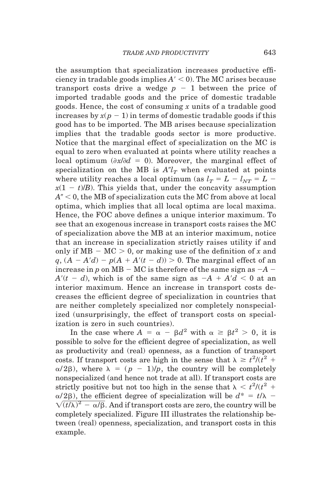the assumption that specialization increases productive efficiency in tradable goods implies  $A' < 0$ ). The MC arises because transport costs drive a wedge  $p - 1$  between the price of imported tradable goods and the price of domestic tradable goods. Hence, the cost of consuming  $x$  units of a tradable good increases by  $x(p-1)$  in terms of domestic tradable goods if this good has to be imported. The MB arises because specialization implies that the tradable goods sector is more productive. Notice that the marginal effect of specialization on the MC is equal to zero when evaluated at points where utility reaches a local optimum  $(\partial x/\partial d = 0)$ . Moreover, the marginal effect of specialization on the MB is  $A'' l_T$  when evaluated at points where utility reaches a local optimum (as  $l_T = L - l_{NT} = L$  $x(1 - t)/B$ ). This yields that, under the concavity assumption  $A'' < 0$ , the MB of specialization cuts the MC from above at local optima, which implies that all local optima are local maxima. Hence, the FOC above defines a unique interior maximum. To see that an exogenous increase in transport costs raises the MC of specialization above the MB at an interior maximum, notice that an increase in specialization strictly raises utility if and only if  $MB - MC > 0$ , or making use of the definition of x and  $q, (A - A'd) - p(A + A'(t - d)) > 0$ . The marginal effect of an increase in p on MB – MC is therefore of the same sign as  $-A$  –  $A'(t - d)$ , which is of the same sign as  $-A + A'd < 0$  at an interior maximum. Hence an increase in transport costs decreases the efficient degree of specialization in countries that are neither completely specialized nor completely nonspecialized (unsurprisingly, the effect of transport costs on specialization is zero in such countries).

In the case where  $A = \alpha - \beta d^2$  with  $\alpha \ge \beta t^2 > 0$ , it is possible to solve for the efficient degree of specialization, as well as productivity and (real) openness, as a function of transport costs. If transport costs are high in the sense that  $\lambda \geq t^2/(t^2 +$  $\alpha/2\beta$ ), where  $\lambda = (p - 1)/p$ , the country will be completely nonspecialized (and hence not trade at all). If transport costs are strictly positive but not too high in the sense that  $\lambda < t^2/(t^2 +$  $\alpha/2\beta$ ), the efficient degree of specialization will be  $d^* = t/\lambda$  –  $\sqrt{(t/\lambda)^2 - \alpha/\beta}$ . And if transport costs are zero, the country will be completely specialized. Figure III illustrates the relationship between (real) openness, specialization, and transport costs in this example.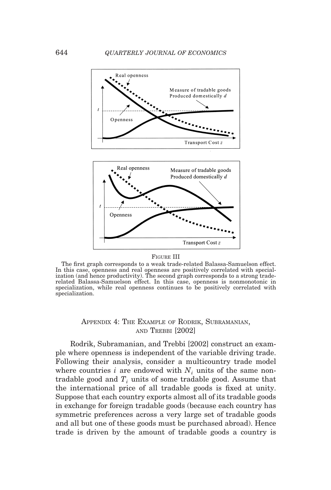

**FIGURE III** 

The first graph corresponds to a weak trade-related Balassa-Samuelson effect. In this case, openness and real openness are positively correlated with specialization (and hence productivity). The second graph corresponds to a strong traderelated Balassa-Samuelson effect. In this case, openness is nonmonotonic in specialization, while real openness continues to be positively correlated with specialization.

# APPENDIX 4: THE EXAMPLE OF RODRIK, SUBRAMANIAN, AND TREBBI [2002]

Rodrik, Subramanian, and Trebbi [2002] construct an example where openness is independent of the variable driving trade. Following their analysis, consider a multicountry trade model where countries  $i$  are endowed with  $N_i$  units of the same nontradable good and  $T_i$  units of some tradable good. Assume that the international price of all tradable goods is fixed at unity. Suppose that each country exports almost all of its tradable goods in exchange for foreign tradable goods (because each country has symmetric preferences across a very large set of tradable goods and all but one of these goods must be purchased abroad). Hence trade is driven by the amount of tradable goods a country is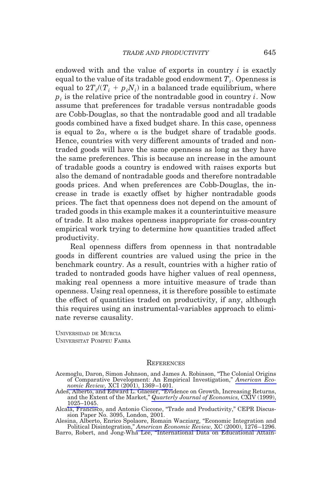endowed with and the value of exports in country  $i$  is exactly equal to the value of its tradable good endowment  $T_i$ . Openness is equal to  $2T_i/(T_i + p_i N_i)$  in a balanced trade equilibrium, where  $p_i$  is the relative price of the nontradable good in country i. Now assume that preferences for tradable versus nontradable goods are Cobb-Douglas, so that the nontradable good and all tradable goods combined have a fixed budget share. In this case, openness is equal to  $2\alpha$ , where  $\alpha$  is the budget share of tradable goods. Hence, countries with very different amounts of traded and nontraded goods will have the same openness as long as they have the same preferences. This is because an increase in the amount of tradable goods a country is endowed with raises exports but also the demand of nontradable goods and therefore nontradable goods prices. And when preferences are Cobb-Douglas, the increase in trade is exactly offset by higher nontradable goods prices. The fact that openness does not depend on the amount of traded goods in this example makes it a counterintuitive measure of trade. It also makes openness inappropriate for cross-country empirical work trying to determine how quantities traded affect productivity.

Real openness differs from openness in that nontradable goods in different countries are valued using the price in the benchmark country. As a result, countries with a higher ratio of traded to nontraded goods have higher values of real openness, making real openness a more intuitive measure of trade than openness. Using real openness, it is therefore possible to estimate the effect of quantities traded on productivity, if any, although this requires using an instrumental-variables approach to eliminate reverse causality.

**UNIVERSIDAD DE MURCIA UNIVERSITAT POMPEU FABRA** 

#### **REFERENCES**

- Acemoglu, Daron, Simon Johnson, and James A. Robinson, "The Colonial Origins of Comparative Development: An Empirical Investigation," American Eco-
- nomic Review, XCI (2001), 1369–1401.<br>Ades, Alberto, and Edward L. Glaeser, "Evidence on Growth, Increasing Returns,<br>and the Extent of the Market," *Quarterly Journal of Economics*, CXIV (1999), 1025-1045.
- Alcalá, Francisco, and Antonio Ciccone, "Trade and Productivity," CEPR Discussion Paper No. 3095, London,  $2001$ .

Alesina, Alberto, Enrico Spolaore, Romain Wacziarg, "Economic Integration and Political Disintegration," American Economic Review, XC (2000), 1276–1296.<br>Barro, Robert, and Jong-Wha Lee, "International Data on Educational Attain-